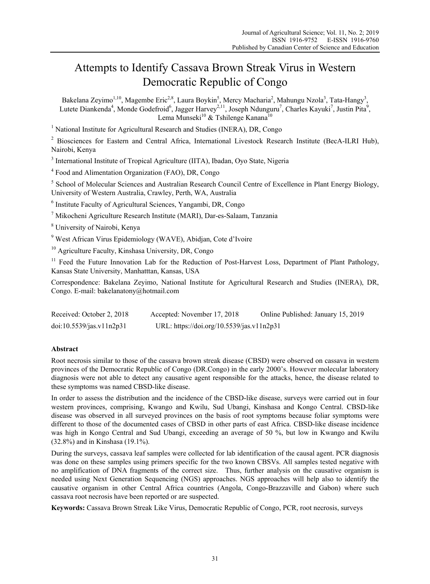# Attempts to Identify Cassava Brown Streak Virus in Western Democratic Republic of Congo

Bakelana Zeyimo<sup>1,10</sup>, Magembe Eric<sup>2,8</sup>, Laura Boykin<sup>5</sup>, Mercy Macharia<sup>2</sup>, Mahungu Nzola<sup>3</sup>, Tata-Hangy<sup>3</sup>, Lutete Diankenda<sup>4</sup>, Monde Godefroid<sup>6</sup>, Jagger Harvey<sup>2,11</sup>, Joseph Ndunguru<sup>7</sup>, Charles Kayuki<sup>7</sup>, Justin Pita<sup>9</sup>, Lema Munseki<sup>10</sup> & Tshilenge Kanana<sup>10</sup>

<sup>1</sup> National Institute for Agricultural Research and Studies (INERA), DR, Congo

<sup>2</sup> Biosciences for Eastern and Central Africa, International Livestock Research Institute (BecA-ILRI Hub), Nairobi, Kenya

<sup>3</sup> International Institute of Tropical Agriculture (IITA), Ibadan, Oyo State, Nigeria

4 Food and Alimentation Organization (FAO), DR, Congo

<sup>5</sup> School of Molecular Sciences and Australian Research Council Centre of Excellence in Plant Energy Biology, University of Western Australia, Crawley, Perth, WA, Australia

6 Institute Faculty of Agricultural Sciences, Yangambi, DR, Congo

7 Mikocheni Agriculture Research Institute (MARI), Dar-es-Salaam, Tanzania

8 University of Nairobi, Kenya

9 West African Virus Epidemiology (WAVE), Abidjan, Cote d'Ivoire

10 Agriculture Faculty, Kinshasa University, DR, Congo

<sup>11</sup> Feed the Future Innovation Lab for the Reduction of Post-Harvest Loss, Department of Plant Pathology, Kansas State University, Manhatttan, Kansas, USA

Correspondence: Bakelana Zeyimo, National Institute for Agricultural Research and Studies (INERA), DR, Congo. E-mail: bakelanatony@hotmail.com

| Received: October 2, 2018 | Accepted: November 17, 2018               | Online Published: January 15, 2019 |
|---------------------------|-------------------------------------------|------------------------------------|
| doi:10.5539/jas.v11n2p31  | URL: https://doi.org/10.5539/jas.v11n2p31 |                                    |

## **Abstract**

Root necrosis similar to those of the cassava brown streak disease (CBSD) were observed on cassava in western provinces of the Democratic Republic of Congo (DR.Congo) in the early 2000's. However molecular laboratory diagnosis were not able to detect any causative agent responsible for the attacks, hence, the disease related to these symptoms was named CBSD-like disease.

In order to assess the distribution and the incidence of the CBSD-like disease, surveys were carried out in four western provinces, comprising, Kwango and Kwilu, Sud Ubangi, Kinshasa and Kongo Central. CBSD-like disease was observed in all surveyed provinces on the basis of root symptoms because foliar symptoms were different to those of the documented cases of CBSD in other parts of east Africa. CBSD-like disease incidence was high in Kongo Central and Sud Ubangi, exceeding an average of 50 %, but low in Kwango and Kwilu (32.8%) and in Kinshasa (19.1%).

During the surveys, cassava leaf samples were collected for lab identification of the causal agent. PCR diagnosis was done on these samples using primers specific for the two known CBSVs. All samples tested negative with no amplification of DNA fragments of the correct size. Thus, further analysis on the causative organism is needed using Next Generation Sequencing (NGS) approaches. NGS approaches will help also to identify the causative organism in other Central Africa countries (Angola, Congo-Brazzaville and Gabon) where such cassava root necrosis have been reported or are suspected.

**Keywords:** Cassava Brown Streak Like Virus, Democratic Republic of Congo, PCR, root necrosis, surveys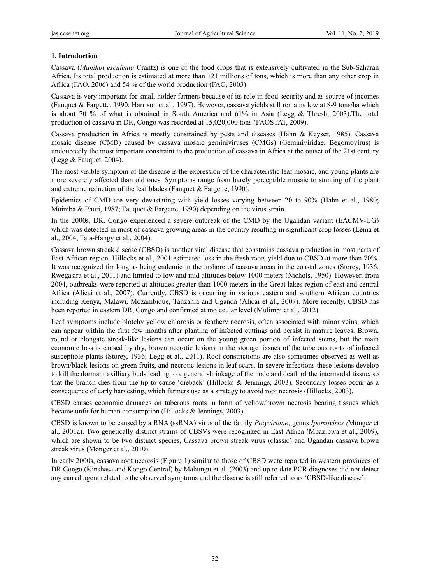### **1. Introduction**

Cassava (*Manihot esculenta* Crantz) is one of the food crops that is extensively cultivated in the Sub-Saharan Africa. Its total production is estimated at more than 121 millions of tons, which is more than any other crop in Africa (FAO, 2006) and 54 % of the world production (FAO, 2003).

Cassava is very important for small holder farmers because of its role in food security and as source of incomes (Fauquet & Fargette, 1990; Harrison et al., 1997). However, cassava yields still remains low at 8-9 tons/ha which is about 70 % of what is obtained in South America and 61% in Asia (Legg & Thresh, 2003).The total production of cassava in DR, Congo was recorded at 15,020,000 tons (FAOSTAT, 2009).

Cassava production in Africa is mostly constrained by pests and diseases (Hahn & Keyser, 1985). Cassava mosaic disease (CMD) caused by cassava mosaic geminiviruses (CMGs) (Geminiviridae; Begomovirus) is undoubtedly the most important constraint to the production of cassava in Africa at the outset of the 21st century (Legg & Fauquet, 2004).

The most visible symptom of the disease is the expression of the characteristic leaf mosaic, and young plants are more severely affected than old ones. Symptoms range from barely perceptible mosaic to stunting of the plant and extreme reduction of the leaf blades (Fauquet & Fargette, 1990).

Epidemics of CMD are very devastating with yield losses varying between 20 to 90% (Hahn et al., 1980; Muimba & Phuti, 1987; Fauquet & Fargette, 1990) depending on the virus strain.

In the 2000s, DR, Congo experienced a severe outbreak of the CMD by the Ugandan variant (EACMV-UG) which was detected in most of cassava growing areas in the country resulting in significant crop losses (Lema et al., 2004; Tata-Hangy et al., 2004).

Cassava brown streak disease (CBSD) is another viral disease that constrains cassava production in most parts of East African region. Hillocks et al., 2001 estimated loss in the fresh roots yield due to CBSD at more than 70%. It was recognized for long as being endemic in the inshore of cassava areas in the coastal zones (Storey, 1936; Rwegasira et al., 2011) and limited to low and mid altitudes below 1000 meters (Nichols, 1950). However, from 2004, outbreaks were reported at altitudes greater than 1000 meters in the Great lakes region of east and central Africa (Alicai et al., 2007). Currently, CBSD is occurring in various eastern and southern African countries including Kenya, Malawi, Mozambique, Tanzania and Uganda (Alicai et al., 2007). More recently, CBSD has been reported in eastern DR, Congo and confirmed at molecular level (Mulimbi et al., 2012).

Leaf symptoms include blotchy yellow chlorosis or feathery necrosis, often associated with minor veins, which can appear within the first few months after planting of infected cuttings and persist in mature leaves. Brown, round or elongate streak-like lesions can occur on the young green portion of infected stems, but the main economic loss is caused by dry, brown necrotic lesions in the storage tissues of the tuberous roots of infected susceptible plants (Storey, 1936; Legg et al., 2011). Root constrictions are also sometimes observed as well as brown/black lesions on green fruits, and necrotic lesions in leaf scars. In severe infections these lesions develop to kill the dormant axilliary buds leading to a general shrinkage of the node and death of the intermodal tissue, so that the branch dies from the tip to cause 'dieback' (Hillocks & Jennings, 2003). Secondary losses occur as a consequence of early harvesting, which farmers use as a strategy to avoid root necrosis (Hillocks, 2003).

CBSD causes economic damages on tuberous roots in form of yellow/brown necrosis bearing tissues which became unfit for human consumption (Hillocks & Jennings, 2003).

CBSD is known to be caused by a RNA (ssRNA) virus of the family *Potyviridae*; genus *Ipomovirus (*Monge*r* et al., 2001a). Two genetically distinct strains of CBSVs were recognized in East Africa (Mbazibwa et al., 2009), which are shown to be two distinct species, Cassava brown streak virus (classic) and Ugandan cassava brown streak virus (Monger et al., 2010).

In early 2000s, cassava root necrosis (Figure 1) similar to those of CBSD were reported in western provinces of DR.Congo (Kinshasa and Kongo Central) by Mahungu et al. (2003) and up to date PCR diagnoses did not detect any causal agent related to the observed symptoms and the disease is still referred to as 'CBSD-like disease'.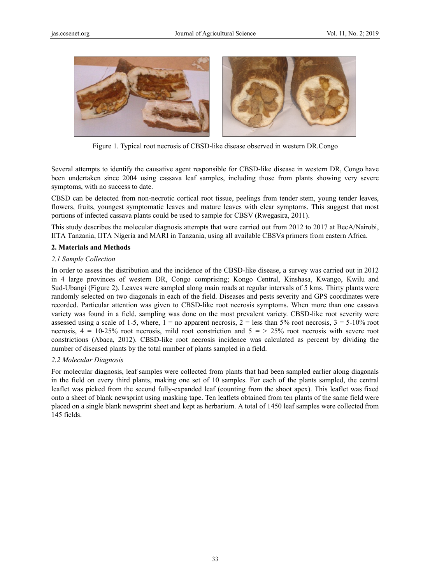

Figure 1. Typical root necrosis of CBSD-like disease observed in western DR.Congo

Several attempts to identify the causative agent responsible for CBSD-like disease in western DR, Congo have been undertaken since 2004 using cassava leaf samples, including those from plants showing very severe symptoms, with no success to date.

CBSD can be detected from non-necrotic cortical root tissue, peelings from tender stem, young tender leaves, flowers, fruits, youngest symptomatic leaves and mature leaves with clear symptoms. This suggest that most portions of infected cassava plants could be used to sample for CBSV (Rwegasira, 2011).

This study describes the molecular diagnosis attempts that were carried out from 2012 to 2017 at BecA/Nairobi, IITA Tanzania, IITA Nigeria and MARI in Tanzania, using all available CBSVs primers from eastern Africa.

#### **2. Materials and Methods**

#### 2.1 Sample Collection

In order to assess the distribution and the incidence of the CBSD-like disease, a survey was carried out in 2012 in 4 large provinces of western DR, Congo comprising; Kongo Central, Kinshasa, Kwango, Kwilu and Sud-Ubangi (Figure 2). Leaves were sampled along main roads at regular intervals of 5 kms. Thirty plants were randomly selected on two diagonals in each of the field. Diseases and pests severity and GPS coordinates were recorded. Particular attention was given to CBSD-like root necrosis symptoms. When more than one cassava variety was found in a field, sampling was done on the most prevalent variety. CBSD-like root severity were assessed using a scale of 1-5, where,  $1 =$  no apparent necrosis,  $2 =$  less than 5% root necrosis,  $3 = 5 \cdot 10\%$  root necrosis,  $4 = 10-25\%$  root necrosis, mild root constriction and  $5 = 25\%$  root necrosis with severe root constrictions (Abaca, 2012). CBSD-like root necrosis incidence was calculated as percent by dividing the number of diseased plants by the total number of plants sampled in a field.

#### 2.2 Molecular Diagnosis

For molecular diagnosis, leaf samples were collected from plants that had been sampled earlier along diagonals in the field on every third plants, making one set of 10 samples. For each of the plants sampled, the central leaflet was picked from the second fully-expanded leaf (counting from the shoot apex). This leaflet was fixed onto a sheet of blank newsprint using masking tape. Ten leaflets obtained from ten plants of the same field were placed on a single blank newsprint sheet and kept as herbarium. A total of 1450 leaf samples were collected from 145 fields. .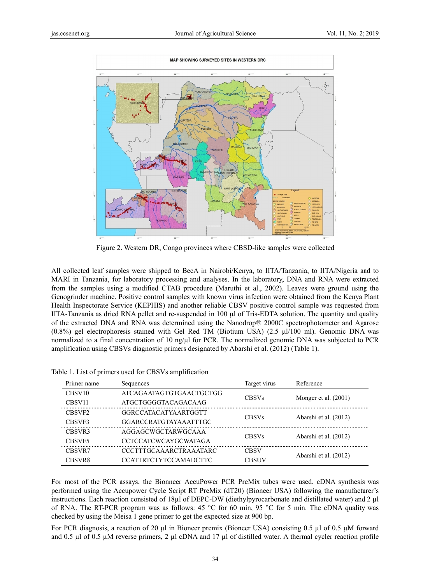

Figure 2. Western DR, Congo provinces where CBSD-like samples were collected

All collected leaf samples were shipped to BecA in Nairobi/Kenya, to IITA/Tanzania, to IITA/Nigeria and to MARI in Tanzania, for laboratory processing and analyses. In the laboratory, DNA and RNA were extracted from the samples using a modified CTAB procedure (Maruthi et al., 2002). Leaves were ground using the Genogrinder machine. Positive control samples with known virus infection were obtained from the Kenya Plant Health Inspectorate Service (KEPHIS) and another reliable CBSV positive control sample was requested from IITA-Tanzania as dried RNA pellet and re-suspended in  $100 \mu$ l of Tris-EDTA solution. The quantity and quality of the extracted DNA and RNA was determined using the Nanodrop® 2000C spectrophotometer and Agarose  $(0.8\%)$  gel electrophoresis stained with Gel Red TM (Biotium USA)  $(2.5 \mu/100 \text{ ml})$ . Genomic DNA was normalized to a final concentration of 10 ng/µl for PCR. The normalized genomic DNA was subjected to PCR amplification using CBSVs diagnostic primers designated by Abarshi et al. (2012) (Table 1).

| Primer name        | Sequences                     | Target virus | Reference              |
|--------------------|-------------------------------|--------------|------------------------|
| CBSV <sub>10</sub> | ATCAGAATAGTGTGAACTGCTGG       | <b>CBSVs</b> |                        |
| CBSV <sub>11</sub> | <b>ATGCTGGGGTACAGACAAG</b>    |              | Monger et al. $(2001)$ |
| CBSVF <sub>2</sub> | GGRCCATACATYAARTGGTT          | <b>CBSVs</b> |                        |
| CBSVF3             | <b>GGARCCRATGTAYAAATTTGC</b>  |              | Abarshi et al. (2012)  |
| CBSVR3             | AGGAGCWGCTARWGCAAA            | <b>CBSVs</b> | Abarshi et al. (2012)  |
| CBSVF5             | <b>CCTCCATCWCAYGCWATAGA</b>   |              |                        |
| CBSVR7             | <b>CCCTTTGCAAARCTRAAATARC</b> | <b>CBSV</b>  |                        |
| CBSVR8             | <b>CCATTRTCTYTCCAMADCTTC</b>  | <b>CBSUV</b> | Abarshi et al. (2012)  |

Table 1. List of primers used for CBSVs amplification

For most of the PCR assays, the Bionneer AccuPower PCR PreMix tubes were used. cDNA synthesis was performed using the Accupower Cycle Script RT PreMix (dT20) (Bioneer USA) following the manufacturer's instructions. Each reaction consisted of 18 $\mu$ l of DEPC-DW (diethylpyrocarbonate and distillated water) and 2  $\mu$ l of RNA. The RT-PCR program was as follows: 45 °C for 60 min, 95 °C for 5 min. The cDNA quality was checked by using the Meisa 1 gene primer to get the expected size at 900 bp.

For PCR diagnosis, a reaction of 20  $\mu$ l in Bioneer premix (Bioneer USA) consisting 0.5  $\mu$ l of 0.5  $\mu$ M forward and 0.5  $\mu$ l of 0.5  $\mu$ M reverse primers, 2  $\mu$ l cDNA and 17  $\mu$ l of distilled water. A thermal cycler reaction profile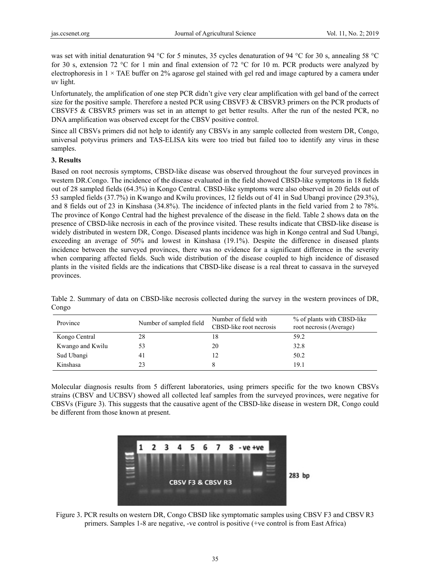was set with initial denaturation 94 °C for 5 minutes, 35 cycles denaturation of 94 °C for 30 s, annealing 58 °C for 30 s, extension 72 °C for 1 min and final extension of 72 °C for 10 m. PCR products were analyzed by electrophoresis in  $1 \times$  TAE buffer on 2% agarose gel stained with gel red and image captured by a camera under uv light.

Unfortunately, the amplification of one step PCR didn't give very clear amplification with gel band of the correct size for the positive sample. Therefore a nested PCR using CBSVF3 & CBSVR3 primers on the PCR products of CBSVF5 & CBSVR5 primers was set in an attempt to get better results. After the run of the nested PCR, no DNA amplification was observed except for the CBSV positive control.

Since all CBSVs primers did not help to identify any CBSVs in any sample collected from western DR, Congo, universal potyvirus primers and TAS-ELISA kits were too tried but failed too to identify any virus in these samples.

### 3. Results

Based on root necrosis symptoms, CBSD-like disease was observed throughout the four surveyed provinces in western DR.Congo. The incidence of the disease evaluated in the field showed CBSD-like symptoms in 18 fields out of 28 sampled fields (64.3%) in Kongo Central. CBSD-like symptoms were also observed in 20 fields out of 53 sampled fields (37.7%) in Kwango and Kwilu provinces, 12 fields out of 41 in Sud Ubangi province (29.3%), and 8 fields out of 23 in Kinshasa (34.8%). The incidence of infected plants in the field varied from 2 to 78%. The province of Kongo Central had the highest prevalence of the disease in the field. Table 2 shows data on the presence of CBSD-like necrosis in each of the province visited. These results indicate that CBSD-like disease is widely distributed in western DR, Congo. Diseased plants incidence was high in Kongo central and Sud Ubangi, exceeding an average of 50% and lowest in Kinshasa (19.1%). Despite the difference in diseased plants incidence between the surveyed provinces, there was no evidence for a significant difference in the severity when comparing affected fields. Such wide distribution of the disease coupled to high incidence of diseased plants in the visited fields are the indications that CBSD-like disease is a real threat to cassava in the surveyed provinces.

| Province         | Number of sampled field | Number of field with<br>CBSD-like root necrosis | % of plants with CBSD-like<br>root necrosis (Average) |
|------------------|-------------------------|-------------------------------------------------|-------------------------------------------------------|
| Kongo Central    | 28                      | 18                                              | 59.2                                                  |
| Kwango and Kwilu | 53                      | 20                                              | 32.8                                                  |
| Sud Ubangi       | 4 <sub>1</sub>          |                                                 | 50.2                                                  |
| Kinshasa         | 23                      |                                                 | 19.1                                                  |

Table 2. Summary of data on CBSD-like necrosis collected during the survey in the western provinces of DR, Congo

Molecular diagnosis results from 5 different laboratories, using primers specific for the two known CBSVs strains (CBSV and UCBSV) showed all collected leaf samples from the surveyed provinces, were negative for CBSVs (Figure 3). This suggests that the causative agent of the CBSD-like disease in western DR, Congo could be different from those known at present.



Figure 3. PCR results on western DR, Congo CBSD like symptomatic samples using CBSV F3 and CBSV R3 primers. Samples 1-8 are negative, -ve control is positive (+ve control is from East Africa)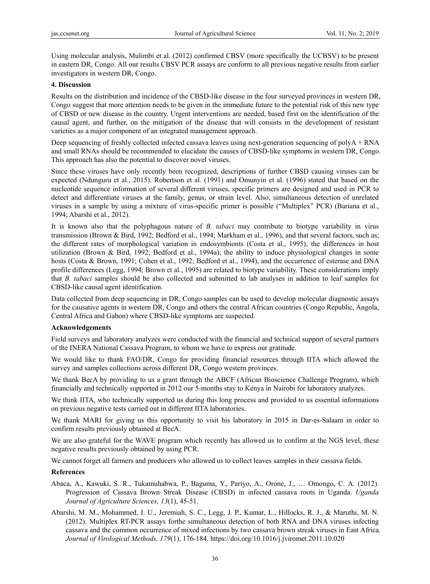Using molecular analysis, Mulimbi et al. (2012) confirmed CBSV (more specifically the UCBSV) to be present in eastern DR, Congo. All our results CBSV PCR assays are conform to all previous negative results from earlier investigators in western DR, Congo.

#### **4. Discussion**

Results on the distribution and incidence of the CBSD-like disease in the four surveyed provinces in western DR, Congo suggest that more attention needs to be given in the immediate future to the potential risk of this new type of CBSD or new disease in the country. Urgent interventions are needed, based first on the identification of the causal agent, and further, on the mitigation of the disease that will consists in the development of resistant varieties as a major component of an integrated management approach.

Deep sequencing of freshly collected infected cassava leaves using next-generation sequencing of polyA + RNA and small RNAs should be recommended to elucidate the causes of CBSD-like symptoms in western DR, Congo. This approach has also the potential to discover novel viruses.

Since these viruses have only recently been recognized, descriptions of further CBSD causing viruses can be expected (Ndunguru et al., 2015). Robertson et al. (1991) and Omunyin et al. (1996) stated that based on the nucleotide sequence information of several different viruses, specific primers are designed and used in PCR to detect and differentiate viruses at the family, genus, or strain level. Also, simultaneous detection of unrelated viruses in a sample by using a mixture of virus-specific primer is possible ("Multiplex" PCR) (Bariana et al., 1994; Abarshi et al., 2012).

It is known also that the polyphagous nature of *B. tabaci* may contribute to biotype variability in virus transmission (Brown & Bird, 1992; Bedford et al., 1994; Markham et al., 1996), and that several factors, such as; the different rates of morphological variation in endosymbionts (Costa et al., 1995); the differences in host utilization (Brown & Bird, 1992; Bedford et al., 1994a); the ability to induce physiological changes in some hosts (Costa & Brown, 1991; Cohen et al., 1992; Bedford et al., 1994), and the occurrence of esterase and DNA profile differences (Legg, 1994; Brown et al., 1995) are related to biotype variability. These considerations imply that *B. tabaci* samples should be also collected and submitted to lab analyses in addition to leaf samples for CBSD-like causal agent identification.

Data collected from deep sequencing in DR, Congo samples can be used to develop molecular diagnostic assays for the causative agents in western DR, Congo and others the central African countries (Congo Republic, Angola, Central Africa and Gabon) where CBSD-like symptoms are suspected.

## **Acknowledgements**

Field surveys and laboratory analyzes were conducted with the financial and technical support of several partners of the INERA National Cassava Program, to whom we have to express our gratitude.

We would like to thank FAO/DR, Congo for providing financial resources through IITA which allowed the survey and samples collections across different DR, Congo western provinces.

We thank BecA by providing to us a grant through the ABCF (African Bioscience Challenge Program), which financially and technically supported in 2012 our 5-months stay to Kenya in Nairobi for laboratory analyzes.

We think IITA, who technically supported us during this long process and provided to us essential informations on previous negative tests carried out in different IITA laboratories.

We thank MARI for giving us this opportunity to visit his laboratory in 2015 in Dar-es-Salaam in order to confirm results previously obtained at BecA.

We are also grateful for the WAVE program which recently has allowed us to confirm at the NGS level, these negative results previously obtained by using PCR.

We cannot forget all farmers and producers who allowed us to collect leaves samples in their cassava fields.

## **References**

- Abaca, A., Kawuki, S. R., Tukamuhabwa, P., Baguma, Y., Pariyo, A., Orone, J., … Omongo, C. A. (2012). Progression of Cassava Brown Streak Disease (CBSD) in infected cassava roots in Uganda. *Uganda Journal of Agriculture Sciences, 13*(1), 45-51.
- Abarshi, M. M., Mohammed, I. U., Jeremiah, S. C., Legg, J. P., Kumar, L., Hillocks, R. J., & Maruthi, M. N. (2012). Multiplex RT-PCR assays forthe simultaneous detection of both RNA and DNA viruses infecting cassava and the common occurrence of mixed infections by two cassava brown streak viruses in East Africa*. Journal of Virological Methods, 179*(1), 176-184. https://doi.org/10.1016/j.jviromet.2011.10.020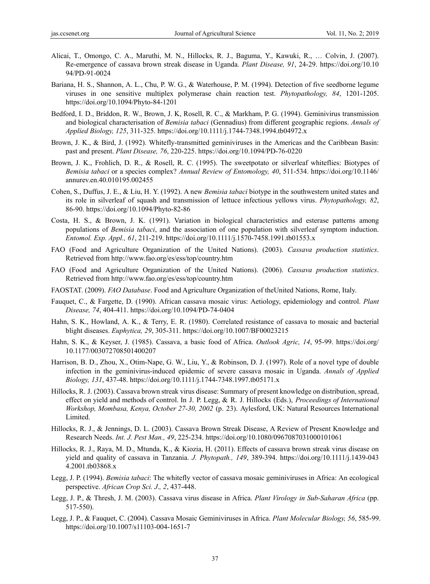- Alicai, T., Omongo, C. A., Maruthi, M. N., Hillocks, R. J., Baguma, Y., Kawuki, R., … Colvin, J. (2007). Re-emergence of cassava brown streak disease in Uganda. *Plant Disease, 91*, 24-29. https://doi.org/10.10 94/PD-91-0024
- Bariana, H. S., Shannon, A. L., Chu, P. W. G., & Waterhouse, P. M. (1994). Detection of five seedborne legume viruses in one sensitive multiplex polymerase chain reaction test. *Phytopathology, 84*, 1201-1205. https://doi.org/10.1094/Phyto-84-1201
- Bedford, I. D., Briddon, R. W., Brown, J. K, Rosell, R. C., & Markham, P. G. (1994). Geminivirus transmission and biological characterisation of *Bemisia tabaci* (Gennadius) from different geographic regions. *Annals of Applied Biology, 125*, 311-325. https://doi.org/10.1111/j.1744-7348.1994.tb04972.x
- Brown, J. K., & Bird, J. (1992). Whitefly-transmitted geminiviruses in the Americas and the Caribbean Basin: past and present. *Plant Disease, 76*, 220-225. https://doi.org/10.1094/PD-76-0220
- Brown, J. K., Frohlich, D. R., & Rosell, R. C. (1995). The sweetpotato or silverleaf whiteflies: Biotypes of *Bemisia tabaci* or a species complex? *Annual Review of Entomology, 40*, 511-534. https://doi.org/10.1146/ annurev.en.40.010195.002455
- Cohen, S., Duffus, J. E., & Liu, H. Y. (1992). A new *Bemisia tabaci* biotype in the southwestern united states and its role in silverleaf of squash and transmission of lettuce infectious yellows virus. *Phytopathology, 82*, 86-90. https://doi.org/10.1094/Phyto-82-86
- Costa, H. S., & Brown, J. K. (1991). Variation in biological characteristics and esterase patterns among populations of *Bemisia tabaci*, and the association of one population with silverleaf symptom induction. *Entomol. Exp. Appl., 61*, 211-219. https://doi.org/10.1111/j.1570-7458.1991.tb01553.x
- FAO (Food and Agriculture Organization of the United Nations). (2003). *Cassava production statistics*. Retrieved from http://www.fao.org/es/ess/top/country.htm
- FAO (Food and Agriculture Organization of the United Nations). (2006). *Cassava production statistics*. Retrieved from http://www.fao.org/es/ess/top/country.htm
- FAOSTAT. (2009). *FAO Database*. Food and Agriculture Organization of theUnited Nations, Rome, Italy.
- Fauquet, C., & Fargette, D. (1990). African cassava mosaic virus: Aetiology, epidemiology and control. *Plant Disease, 74*, 404-411. https://doi.org/10.1094/PD-74-0404
- Hahn, S. K., Howland, A. K., & Terry, E. R. (1980). Correlated resistance of cassava to mosaic and bacterial blight diseases. *Euphytica, 29*, 305-311. https://doi.org/10.1007/BF00023215
- Hahn, S. K., & Keyser, J. (1985). Cassava, a basic food of Africa. *Outlook Agric, 14*, 95-99. https://doi.org/ 10.1177/003072708501400207
- Harrison, B. D., Zhou, X., Otim-Nape, G. W., Liu, Y., & Robinson, D. J. (1997). Role of a novel type of double infection in the geminivirus-induced epidemic of severe cassava mosaic in Uganda. *Annals of Applied Biology, 131*, 437-48. https://doi.org/10.1111/j.1744-7348.1997.tb05171.x
- Hillocks, R. J. (2003). Cassava brown streak virus disease: Summary of present knowledge on distribution, spread, effect on yield and methods of control. In J. P. Legg, & R. J. Hillocks (Eds.), *Proceedings of International Workshop, Mombasa, Kenya, October 27-30, 2002* (p. 23). Aylesford, UK: Natural Resources International Limited.
- Hillocks, R. J., & Jennings, D. L. (2003). Cassava Brown Streak Disease, A Review of Present Knowledge and Research Needs. *Int. J. Pest Man., 49*, 225-234. https://doi.org/10.1080/0967087031000101061
- Hillocks, R. J., Raya, M. D., Mtunda, K., & Kiozia, H. (2011). Effects of cassava brown streak virus disease on yield and quality of cassava in Tanzania. *J. Phytopath., 149*, 389-394. https://doi.org/10.1111/j.1439-043 4.2001.tb03868.x
- Legg, J. P. (1994). *Bemisia tabaci*: The whitefly vector of cassava mosaic geminiviruses in Africa: An ecological perspective. *African Crop Sci. J*.*, 2*, 437-448.
- Legg, J. P., & Thresh, J. M. (2003). Cassava virus disease in Africa. *Plant Virology in Sub-Saharan Africa* (pp. 517-550).
- Legg, J. P., & Fauquet, C. (2004). Cassava Mosaic Geminiviruses in Africa. *Plant Molecular Biology, 56*, 585-99. https://doi.org/10.1007/s11103-004-1651-7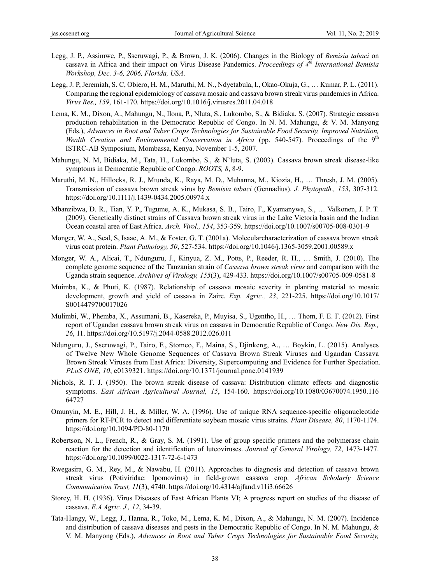- Legg, J. P., Assimwe, P., Sseruwagi, P., & Brown, J. K. (2006). Changes in the Biology of *Bemisia tabaci* on cassava in Africa and their impact on Virus Disease Pandemics. *Proceedings of 4th International Bemisia Workshop, Dec. 3-6, 2006, Florida, USA*.
- Legg, J. P, Jeremiah, S. C, Obiero, H. M., Maruthi, M. N., Ndyetabula, I., Okao-Okuja, G., … Kumar, P. L. (2011). Comparing the regional epidemiology of cassava mosaic and cassava brown streak virus pandemics in Africa. *Virus Res., 159*, 161-170. https://doi.org/10.1016/j.virusres.2011.04.018
- Lema, K. M., Dixon, A., Mahungu, N., Ilona, P., Nluta, S., Lukombo, S., & Bidiaka, S. (2007). Strategic cassava production rehabilitation in the Democratic Republic of Congo. In N. M. Mahungu, & V. M. Manyong (Eds.), *Advances in Root and Tuber Crops Technologies for Sustainable Food Security, Improved Nutrition, Wealth Creation and Environmental Conservation in Africa* (pp. 540-547). Proceedings of the 9<sup>th</sup> ISTRC-AB Symposium, Mombassa, Kenya, November 1-5, 2007.
- Mahungu, N. M, Bidiaka, M., Tata, H., Lukombo, S., & N'luta, S. (2003). Cassava brown streak disease-like symptoms in Democratic Republic of Congo. *ROOTS, 8*, 8-9.
- Maruthi, M. N., Hillocks, R. J., Mtunda, K., Raya, M. D., Muhanna, M., Kiozia, H., … Thresh, J. M. (2005). Transmission of cassava brown streak virus by *Bemisia tabaci* (Gennadius). *J. Phytopath., 153*, 307-312. https://doi.org/10.1111/j.1439-0434.2005.00974.x
- Mbanzibwa, D. R., Tian, Y. P., Tugume, A. K., Mukasa, S. B., Tairo, F., Kyamanywa, S., … Valkonen, J. P. T. (2009). Genetically distinct strains of Cassava brown streak virus in the Lake Victoria basin and the Indian Ocean coastal area of East Africa. *Arch. Virol., 154*, 353-359. https://doi.org/10.1007/s00705-008-0301-9
- Monger, W. A., Seal, S, Isaac, A. M., & Foster, G. T. (2001a). Molecularcharacterization of cassava brown streak virus coat protein. *Plant Pathology, 50*, 527-534. https://doi.org/10.1046/j.1365-3059.2001.00589.x
- Monger, W. A., Alicai, T., Ndunguru, J., Kinyua, Z. M., Potts, P., Reeder, R. H., … Smith, J. (2010). The complete genome sequence of the Tanzanian strain of *Cassava brown streak virus* and comparison with the Uganda strain sequence. *Archives of Virology, 155*(3), 429-433. https://doi.org/10.1007/s00705-009-0581-8
- Muimba, K., & Phuti, K. (1987). Relationship of cassava mosaic severity in planting material to mosaic development, growth and yield of cassava in Zaire. *Exp. Agric., 23*, 221-225. https://doi.org/10.1017/ S0014479700017026
- Mulimbi, W., Phemba, X., Assumani, B., Kasereka, P., Muyisa, S., Ugentho, H., … Thom, F. E. F. (2012). First report of Ugandan cassava brown streak virus on cassava in Democratic Republic of Congo. *New Dis. Rep., 26*, 11. https://doi.org/10.5197/j.2044-0588.2012.026.011
- Ndunguru, J., Sseruwagi, P., Tairo, F., Stomeo, F., Maina, S., Djinkeng, A., … Boykin, L. (2015). Analyses of Twelve New Whole Genome Sequences of Cassava Brown Streak Viruses and Ugandan Cassava Brown Streak Viruses from East Africa: Diversity, Supercomputing and Evidence for Further Speciation*. PLoS ONE, 10*, e0139321. https://doi.org/10.1371/journal.pone.0141939
- Nichols, R. F. J. (1950). The brown streak disease of cassava: Distribution climatc effects and diagnostic symptoms. *East African Agricultural Journal, 15*, 154-160. https://doi.org/10.1080/03670074.1950.116 64727
- Omunyin, M. E., Hill, J. H., & Miller, W. A. (1996). Use of unique RNA sequence-specific oligonucleotide primers for RT-PCR to detect and differentiate soybean mosaic virus strains. *Plant Disease, 80*, 1170-1174. https://doi.org/10.1094/PD-80-1170
- Robertson, N. L., French, R., & Gray, S. M. (1991). Use of group specific primers and the polymerase chain reaction for the detection and identification of luteoviruses. *Journal of General Virology, 72*, 1473-1477. https://doi.org/10.1099/0022-1317-72-6-1473
- Rwegasira, G. M., Rey, M., & Nawabu, H. (2011). Approaches to diagnosis and detection of cassava brown streak virus (Potiviridae: Ipomovirus) in field-grown cassava crop. *African Scholarly Science Communication Trust, 11*(3), 4740. https://doi.org/10.4314/ajfand.v11i3.66626
- Storey, H. H. (1936). Virus Diseases of East African Plants VI; A progress report on studies of the disease of cassava. *E.A Agric. J., 12*, 34-39.
- Tata-Hangy, W., Legg, J., Hanna, R., Toko, M., Lema, K. M., Dixon, A., & Mahungu, N. M. (2007). Incidence and distribution of cassava diseases and pests in the Democratic Republic of Congo. In N. M. Mahungu, & V. M. Manyong (Eds.), *Advances in Root and Tuber Crops Technologies for Sustainable Food Security,*